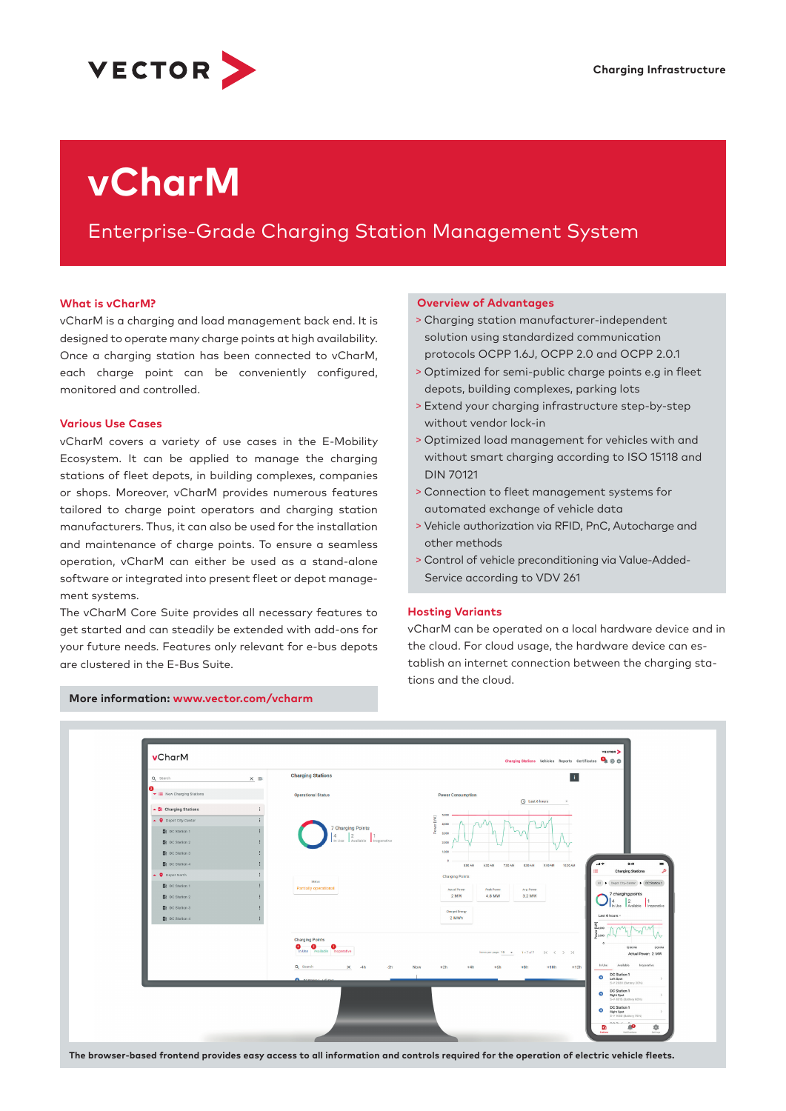

# **vCharM**

# Enterprise-Grade Charging Station Management System

#### **What is vCharM?**

vCharM is a charging and load management back end. It is designed to operate many charge points at high availability. Once a charging station has been connected to vCharM, each charge point can be conveniently configured, monitored and controlled.

#### **Various Use Cases**

vCharM covers a variety of use cases in the E-Mobility Ecosystem. It can be applied to manage the charging stations of fleet depots, in building complexes, companies or shops. Moreover, vCharM provides numerous features tailored to charge point operators and charging station manufacturers. Thus, it can also be used for the installation and maintenance of charge points. To ensure a seamless operation, vCharM can either be used as a stand-alone software or integrated into present fleet or depot management systems.

The vCharM Core Suite provides all necessary features to get started and can steadily be extended with add-ons for your future needs. Features only relevant for e-bus depots are clustered in the E-Bus Suite.

#### **Overview of Advantages**

- > Charging station manufacturer-independent solution using standardized communication protocols OCPP 1.6J, OCPP 2.0 and OCPP 2.0.1
- > Optimized for semi-public charge points e.g in fleet depots, building complexes, parking lots
- > Extend your charging infrastructure step-by-step without vendor lock-in
- > Optimized load management for vehicles with and without smart charging according to ISO 15118 and DIN 70121
- > Connection to fleet management systems for automated exchange of vehicle data
- > Vehicle authorization via RFID, PnC, Autocharge and other methods
- > Control of vehicle preconditioning via Value-Added-Service according to VDV 261

#### **Hosting Variants**

vCharM can be operated on a local hardware device and in the cloud. For cloud usage, the hardware device can establish an internet connection between the charging stations and the cloud.



**More information: www.vector.com/vcharm**

**The browser-based frontend provides easy access to all information and controls required for the operation of electric vehicle fleets.**